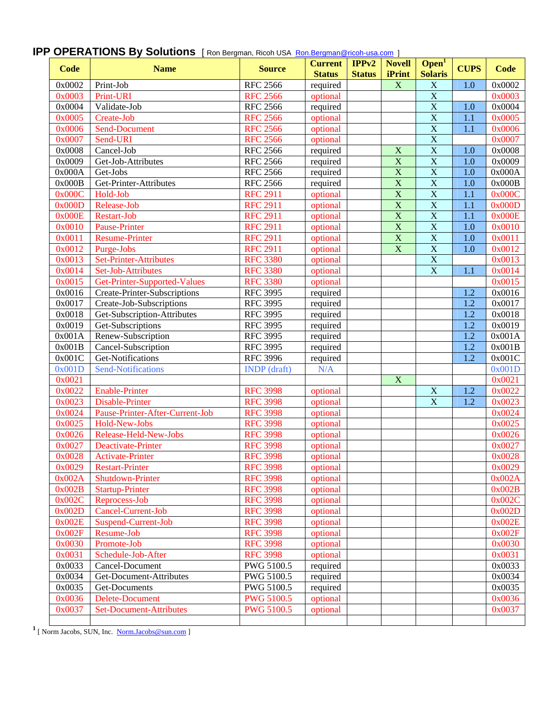| <b>Code</b> | <b>Name</b>                     | <b>Source</b>       | <b>Current</b><br><b>Status</b> | IPPv2<br><b>Status</b> | <b>Novell</b><br><b>iPrint</b> | Open <sup>T</sup><br><b>Solaris</b> | <b>CUPS</b> | <b>Code</b> |
|-------------|---------------------------------|---------------------|---------------------------------|------------------------|--------------------------------|-------------------------------------|-------------|-------------|
| 0x0002      | Print-Job                       | <b>RFC 2566</b>     | required                        |                        | $\mathbf X$                    | $\mathbf X$                         | 1.0         | 0x0002      |
| 0x0003      | Print-URI                       | <b>RFC 2566</b>     | optional                        |                        |                                | $\overline{X}$                      |             | 0x0003      |
| 0x0004      | Validate-Job                    | <b>RFC 2566</b>     | required                        |                        |                                | $\overline{X}$                      | 1.0         | 0x0004      |
| 0x0005      | Create-Job                      | <b>RFC 2566</b>     | optional                        |                        |                                | $\overline{X}$                      | 1.1         | 0x0005      |
| 0x0006      | Send-Document                   | <b>RFC 2566</b>     | optional                        |                        |                                | $\overline{X}$                      | 1.1         | 0x0006      |
| 0x0007      | Send-URI                        | <b>RFC 2566</b>     | optional                        |                        |                                | $\overline{X}$                      |             | 0x0007      |
| 0x0008      | Cancel-Job                      | <b>RFC 2566</b>     | required                        |                        | $\mathbf X$                    | $\overline{\textbf{X}}$             | 1.0         | 0x0008      |
| 0x0009      | Get-Job-Attributes              | <b>RFC 2566</b>     | required                        |                        | $\overline{\mathbf{X}}$        | $\overline{X}$                      | 1.0         | 0x0009      |
| 0x000A      | Get-Jobs                        | <b>RFC 2566</b>     | required                        |                        | $\overline{\mathbf{X}}$        | $\overline{X}$                      | 1.0         | 0x000A      |
| 0x000B      | Get-Printer-Attributes          | <b>RFC 2566</b>     | required                        |                        | $\overline{\mathbf{X}}$        | $\overline{X}$                      | 1.0         | 0x000B      |
| 0x000C      | Hold-Job                        | <b>RFC 2911</b>     | optional                        |                        | $\overline{\mathbf{X}}$        | $\overline{X}$                      | 1.1         | 0x000C      |
| 0x000D      | Release-Job                     | <b>RFC 2911</b>     | optional                        |                        | $\overline{\mathbf{X}}$        | $\overline{X}$                      | 1.1         | 0x000D      |
| 0x000E      | Restart-Job                     | <b>RFC 2911</b>     | optional                        |                        | $\overline{\mathbf{X}}$        | $\overline{X}$                      | 1.1         | 0x000E      |
| 0x0010      | <b>Pause-Printer</b>            | <b>RFC 2911</b>     | optional                        |                        | $\overline{\mathbf{X}}$        | $\overline{X}$                      | 1.0         | 0x0010      |
| 0x0011      | <b>Resume-Printer</b>           | <b>RFC 2911</b>     | optional                        |                        | $\overline{\mathbf{X}}$        | $\overline{X}$                      | 1.0         | 0x0011      |
| 0x0012      | Purge-Jobs                      | <b>RFC 2911</b>     | optional                        |                        | $\overline{\mathbf{X}}$        | $\overline{X}$                      | 1.0         | 0x0012      |
| 0x0013      | <b>Set-Printer-Attributes</b>   | <b>RFC 3380</b>     | optional                        |                        |                                | $\overline{X}$                      |             | 0x0013      |
| 0x0014      | Set-Job-Attributes              | <b>RFC 3380</b>     | optional                        |                        |                                | $\overline{X}$                      | 1.1         | 0x0014      |
| 0x0015      | Get-Printer-Supported-Values    | <b>RFC 3380</b>     | optional                        |                        |                                |                                     |             | 0x0015      |
| 0x0016      | Create-Printer-Subscriptions    | <b>RFC 3995</b>     | required                        |                        |                                |                                     | 1.2         | 0x0016      |
| 0x0017      | Create-Job-Subscriptions        | <b>RFC 3995</b>     | required                        |                        |                                |                                     | 1.2         | 0x0017      |
| 0x0018      | Get-Subscription-Attributes     | <b>RFC 3995</b>     | required                        |                        |                                |                                     | 1.2         | 0x0018      |
| 0x0019      | Get-Subscriptions               | <b>RFC 3995</b>     | required                        |                        |                                |                                     | 1.2         | 0x0019      |
| 0x001A      | Renew-Subscription              | <b>RFC 3995</b>     | required                        |                        |                                |                                     | 1.2         | 0x001A      |
| 0x001B      | Cancel-Subscription             | <b>RFC 3995</b>     | required                        |                        |                                |                                     | 1.2         | 0x001B      |
| 0x001C      | Get-Notifications               | <b>RFC 3996</b>     | required                        |                        |                                |                                     | 1.2         | 0x001C      |
| 0x001D      | <b>Send-Notifications</b>       | <b>INDP</b> (draft) | N/A                             |                        |                                |                                     |             | 0x001D      |
| 0x0021      |                                 |                     |                                 |                        | $\boldsymbol{\mathrm{X}}$      |                                     |             | 0x0021      |
| 0x0022      | <b>Enable-Printer</b>           | <b>RFC 3998</b>     | optional                        |                        |                                | $\mathbf X$                         | 1.2         | 0x0022      |
| 0x0023      | Disable-Printer                 | <b>RFC 3998</b>     | optional                        |                        |                                | $\overline{X}$                      | 1.2         | 0x0023      |
| 0x0024      | Pause-Printer-After-Current-Job | <b>RFC 3998</b>     | optional                        |                        |                                |                                     |             | 0x0024      |
| 0x0025      | Hold-New-Jobs                   | <b>RFC 3998</b>     | optional                        |                        |                                |                                     |             | 0x0025      |
| 0x0026      | Release-Held-New-Jobs           | <b>RFC 3998</b>     | optional                        |                        |                                |                                     |             | 0x0026      |
| 0x0027      | Deactivate-Printer              | <b>RFC 3998</b>     | optional                        |                        |                                |                                     |             | 0x0027      |
| 0x0028      | Activate-Printer                | <b>RFC 3998</b>     | optional                        |                        |                                |                                     |             | 0x0028      |
| 0x0029      | Restart-Printer                 | <b>RFC 3998</b>     | optional                        |                        |                                |                                     |             | 0x0029      |
| 0x002A      | <b>Shutdown-Printer</b>         | <b>RFC 3998</b>     | optional                        |                        |                                |                                     |             | 0x002A      |
| 0x002B      | <b>Startup-Printer</b>          | <b>RFC 3998</b>     | optional                        |                        |                                |                                     |             | 0x002B      |
| 0x002C      | Reprocess-Job                   | <b>RFC 3998</b>     | optional                        |                        |                                |                                     |             | 0x002C      |
| 0x002D      | Cancel-Current-Job              | <b>RFC 3998</b>     | optional                        |                        |                                |                                     |             | 0x002D      |
| 0x002E      | Suspend-Current-Job             | <b>RFC 3998</b>     | optional                        |                        |                                |                                     |             | 0x002E      |
| 0x002F      | Resume-Job                      | <b>RFC 3998</b>     | optional                        |                        |                                |                                     |             | 0x002F      |
| 0x0030      | Promote-Job                     | <b>RFC 3998</b>     | optional                        |                        |                                |                                     |             | 0x0030      |
| 0x0031      | Schedule-Job-After              | <b>RFC 3998</b>     | optional                        |                        |                                |                                     |             | 0x0031      |
| 0x0033      | Cancel-Document                 | PWG 5100.5          | required                        |                        |                                |                                     |             | 0x0033      |
| 0x0034      | Get-Document-Attributes         | PWG 5100.5          | required                        |                        |                                |                                     |             | 0x0034      |
| 0x0035      | Get-Documents                   | PWG 5100.5          | required                        |                        |                                |                                     |             | 0x0035      |
| 0x0036      | <b>Delete-Document</b>          | <b>PWG 5100.5</b>   | optional                        |                        |                                |                                     |             | 0x0036      |
| 0x0037      | <b>Set-Document-Attributes</b>  | <b>PWG 5100.5</b>   | optional                        |                        |                                |                                     |             | 0x0037      |
|             |                                 |                     |                                 |                        |                                |                                     |             |             |

## **IPP OPERATIONS By Solutions** [ Ron Bergman, Ricoh USA **Ron.Bergman@ricoh-usa.com** ]

1 [ Norm Jacobs, SUN, Inc. Norm.Jacobs@sun.com ]